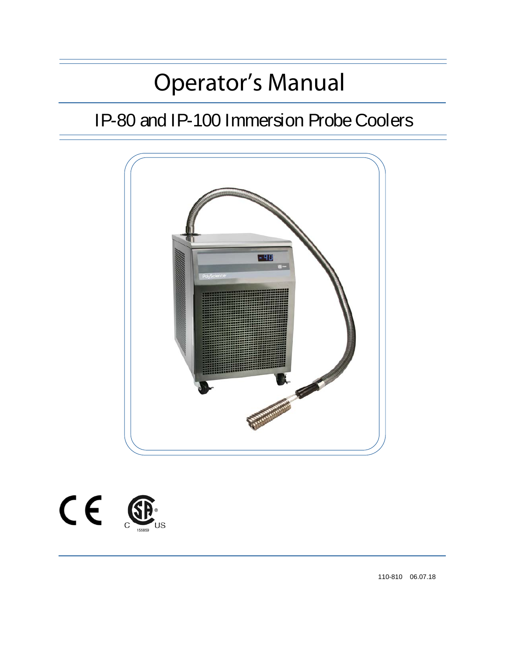# Operator's Manual

# IP-80 and IP-100 Immersion Probe Coolers





110-810 06.07.18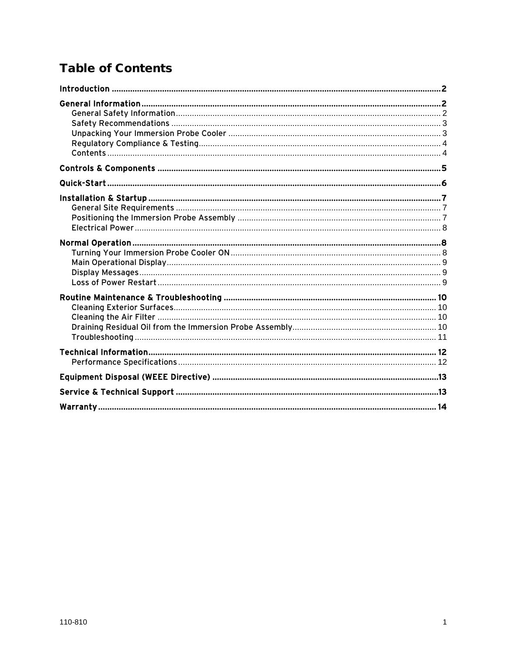# **Table of Contents**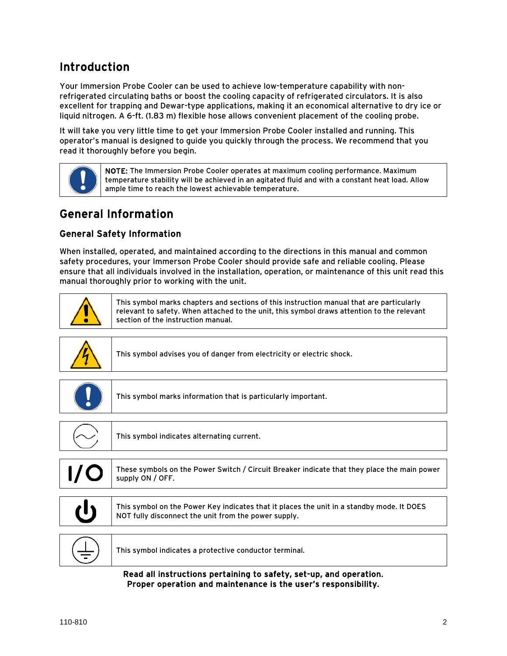# <span id="page-2-0"></span>Introduction

Your Immersion Probe Cooler can be used to achieve low-temperature capability with nonrefrigerated circulating baths or boost the cooling capacity of refrigerated circulators. It is also excellent for trapping and Dewar-type applications, making it an economical alternative to dry ice or liquid nitrogen. A 6-ft. (1.83 m) flexible hose allows convenient placement of the cooling probe.

It will take you very little time to get your Immersion Probe Cooler installed and running. This operator's manual is designed to guide you quickly through the process. We recommend that you read it thoroughly before you begin.



# General Information

#### General Safety Information

When installed, operated, and maintained according to the directions in this manual and common safety procedures, your Immerson Probe Cooler should provide safe and reliable cooling. Please ensure that all individuals involved in the installation, operation, or maintenance of this unit read this manual thoroughly prior to working with the unit.



This symbol marks chapters and sections of this instruction manual that are particularly relevant to safety. When attached to the unit, this symbol draws attention to the relevant section of the instruction manual.

|     | This symbol advises you of danger from electricity or electric shock.                                                                             |
|-----|---------------------------------------------------------------------------------------------------------------------------------------------------|
|     |                                                                                                                                                   |
|     | This symbol marks information that is particularly important.                                                                                     |
|     |                                                                                                                                                   |
|     | This symbol indicates alternating current.                                                                                                        |
|     |                                                                                                                                                   |
| I/O | These symbols on the Power Switch / Circuit Breaker indicate that they place the main power<br>supply ON / OFF.                                   |
|     |                                                                                                                                                   |
|     | This symbol on the Power Key indicates that it places the unit in a standby mode. It DOES<br>NOT fully disconnect the unit from the power supply. |
|     |                                                                                                                                                   |
|     | This symbol indicates a protective conductor terminal.                                                                                            |
|     |                                                                                                                                                   |

Read all instructions pertaining to safety, set-up, and operation. Proper operation and maintenance is the user's responsibility.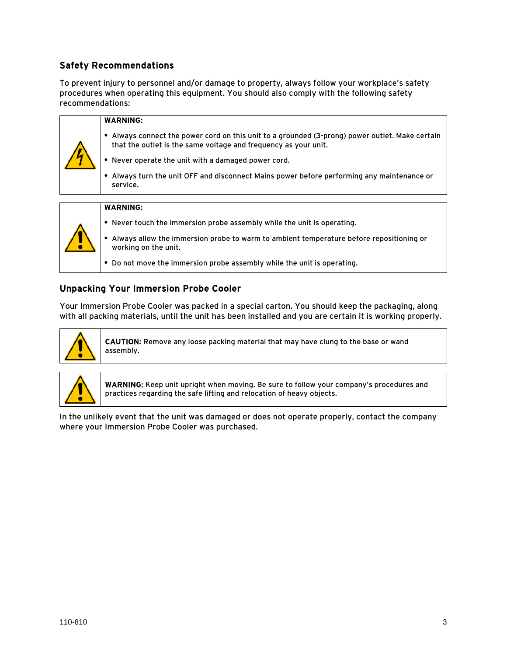#### <span id="page-3-0"></span>Safety Recommendations

To prevent injury to personnel and/or damage to property, always follow your workplace's safety procedures when operating this equipment. You should also comply with the following safety recommendations:

|  | <b>WARNING:</b>                                                                                                                                                  |
|--|------------------------------------------------------------------------------------------------------------------------------------------------------------------|
|  | Always connect the power cord on this unit to a grounded (3-prong) power outlet. Make certain<br>that the outlet is the same voltage and frequency as your unit. |
|  | • Never operate the unit with a damaged power cord.                                                                                                              |
|  | Always turn the unit OFF and disconnect Mains power before performing any maintenance or<br>service.                                                             |
|  |                                                                                                                                                                  |
|  | <b>WARNING:</b>                                                                                                                                                  |
|  | • Never touch the immersion probe assembly while the unit is operating.                                                                                          |
|  | Always allow the immersion probe to warm to ambient temperature before repositioning or<br>working on the unit.                                                  |

**•** Do not move the immersion probe assembly while the unit is operating.

#### Unpacking Your Immersion Probe Cooler

Your Immersion Probe Cooler was packed in a special carton. You should keep the packaging, along with all packing materials, until the unit has been installed and you are certain it is working properly.



CAUTION: Remove any loose packing material that may have clung to the base or wand assembly.



WARNING: Keep unit upright when moving. Be sure to follow your company's procedures and practices regarding the safe lifting and relocation of heavy objects.

In the unlikely event that the unit was damaged or does not operate properly, contact the company where your Immersion Probe Cooler was purchased.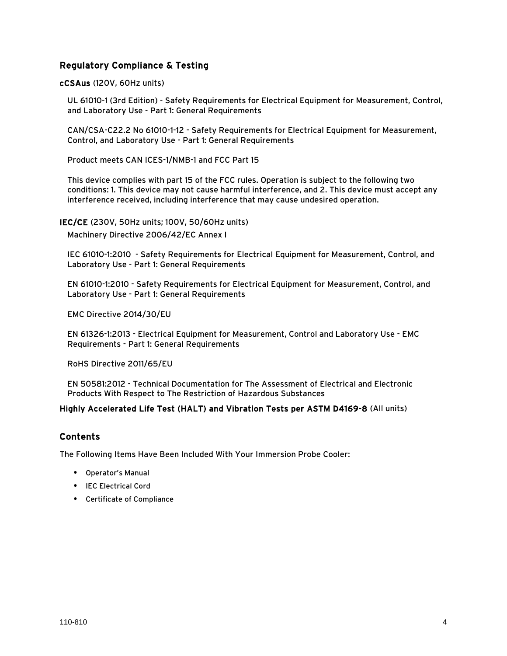#### <span id="page-4-0"></span>Regulatory Compliance & Testing

cCSAus (120V, 60Hz units)

UL 61010-1 (3rd Edition) - Safety Requirements for Electrical Equipment for Measurement, Control, and Laboratory Use - Part 1: General Requirements

CAN/CSA-C22.2 No 61010-1-12 - Safety Requirements for Electrical Equipment for Measurement, Control, and Laboratory Use - Part 1: General Requirements

Product meets CAN ICES-1/NMB-1 and FCC Part 15

This device complies with part 15 of the FCC rules. Operation is subject to the following two conditions: 1. This device may not cause harmful interference, and 2. This device must accept any interference received, including interference that may cause undesired operation.

IEC/CE (230V, 50Hz units; 100V, 50/60Hz units)

Machinery Directive 2006/42/EC Annex I

IEC 61010-1:2010 - Safety Requirements for Electrical Equipment for Measurement, Control, and Laboratory Use - Part 1: General Requirements

EN 61010-1:2010 - Safety Requirements for Electrical Equipment for Measurement, Control, and Laboratory Use - Part 1: General Requirements

EMC Directive 2014/30/EU

EN 61326-1:2013 - Electrical Equipment for Measurement, Control and Laboratory Use - EMC Requirements - Part 1: General Requirements

RoHS Directive 2011/65/EU

EN 50581:2012 - Technical Documentation for The Assessment of Electrical and Electronic Products With Respect to The Restriction of Hazardous Substances

#### Highly Accelerated Life Test (HALT) and Vibration Tests per ASTM D4169-8 (All units)

#### Contents

The Following Items Have Been Included With Your Immersion Probe Cooler:

- **•** Operator's Manual
- **•** IEC Electrical Cord
- **•** Certificate of Compliance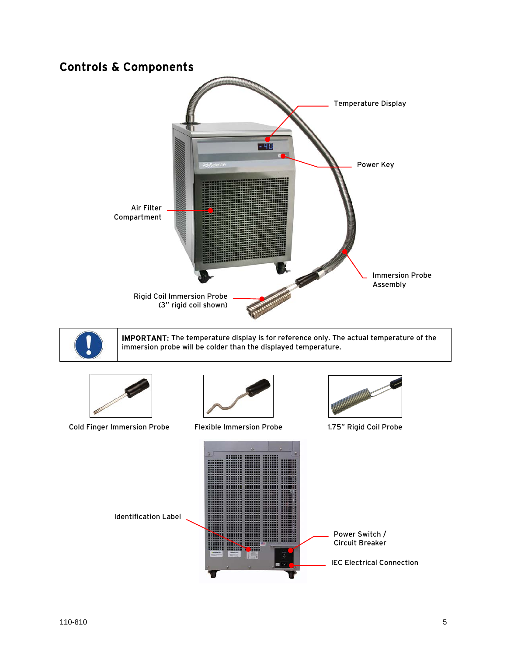# <span id="page-5-0"></span>Controls & Components





IMPORTANT: The temperature display is for reference only. The actual temperature of the immersion probe will be colder than the displayed temperature.



Cold Finger Immersion Probe Flexible Immersion Probe 1.75" Rigid Coil Probe





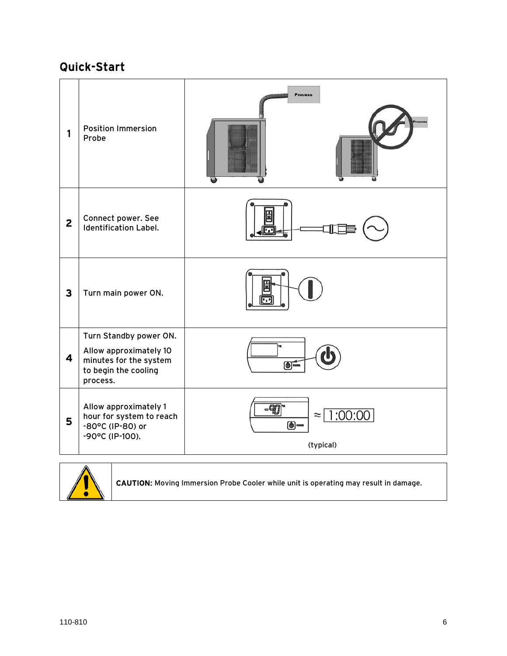# <span id="page-6-0"></span>Quick-Start

| 1              | <b>Position Immersion</b><br>Probe                                                                             | <b>Process</b><br>Proces                                  |
|----------------|----------------------------------------------------------------------------------------------------------------|-----------------------------------------------------------|
| $\overline{2}$ | Connect power. See<br><b>Identification Label.</b>                                                             |                                                           |
| $\mathbf{3}$   | Turn main power ON.                                                                                            |                                                           |
| 4              | Turn Standby power ON.<br>Allow approximately 10<br>minutes for the system<br>to begin the cooling<br>process. | $\bigodot$ roms                                           |
| 5              | Allow approximately 1<br>hour for system to reach<br>-80°C (IP-80) or<br>-90°C (IP-100).                       | -90<br>≈   1:00:00<br>$\odot$ <sub>rom</sub><br>(typical) |



CAUTION: Moving Immersion Probe Cooler while unit is operating may result in damage.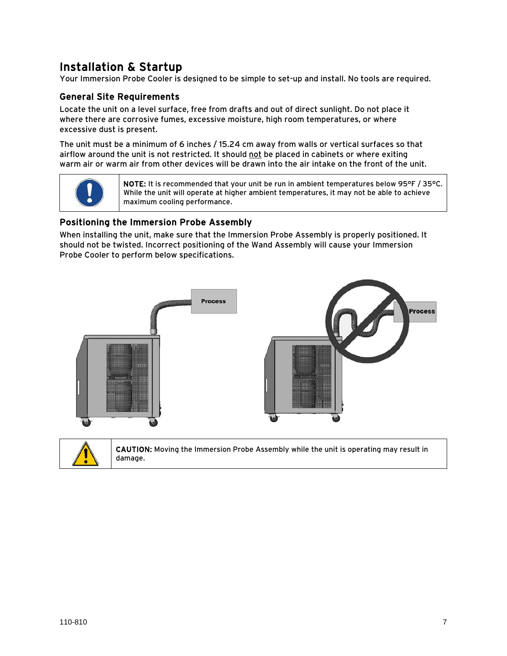<span id="page-7-0"></span>Installation & Startup<br>Your Immersion Probe Cooler is designed to be simple to set-up and install. No tools are required.

#### General Site Requirements

Locate the unit on a level surface, free from drafts and out of direct sunlight. Do not place it where there are corrosive fumes, excessive moisture, high room temperatures, or where excessive dust is present.

The unit must be a minimum of 6 inches / 15.24 cm away from walls or vertical surfaces so that airflow around the unit is not restricted. It should not be placed in cabinets or where exiting warm air or warm air from other devices will be drawn into the air intake on the front of the unit.



NOTE: It is recommended that your unit be run in ambient temperatures below 95°F / 35°C. While the unit will operate at higher ambient temperatures, it may not be able to achieve maximum cooling performance.

#### Positioning the Immersion Probe Assembly

When installing the unit, make sure that the Immersion Probe Assembly is properly positioned. It should not be twisted. Incorrect positioning of the Wand Assembly will cause your Immersion Probe Cooler to perform below specifications.



CAUTION: Moving the Immersion Probe Assembly while the unit is operating may result in damage.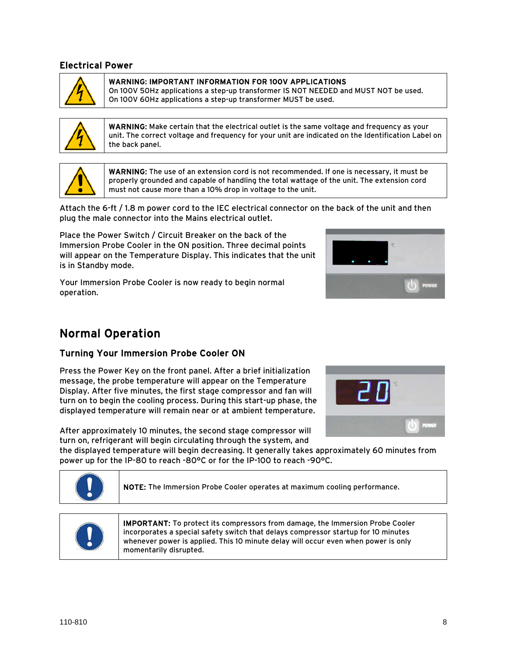#### <span id="page-8-0"></span>Electrical Power



WARNING: IMPORTANT INFORMATION FOR 100V APPLICATIONS

On 100V 50Hz applications a step-up transformer IS NOT NEEDED and MUST NOT be used. On 100V 60Hz applications a step-up transformer MUST be used.



WARNING: Make certain that the electrical outlet is the same voltage and frequency as your unit. The correct voltage and frequency for your unit are indicated on the Identification Label on the back panel.



WARNING: The use of an extension cord is not recommended. If one is necessary, it must be properly grounded and capable of handling the total wattage of the unit. The extension cord must not cause more than a 10% drop in voltage to the unit.

Attach the 6-ft / 1.8 m power cord to the IEC electrical connector on the back of the unit and then plug the male connector into the Mains electrical outlet.

Place the Power Switch / Circuit Breaker on the back of the Immersion Probe Cooler in the ON position. Three decimal points will appear on the Temperature Display. This indicates that the unit is in Standby mode.

Your Immersion Probe Cooler is now ready to begin normal operation.



#### Turning Your Immersion Probe Cooler ON

Press the Power Key on the front panel. After a brief initialization message, the probe temperature will appear on the Temperature Display. After five minutes, the first stage compressor and fan will turn on to begin the cooling process. During this start-up phase, the displayed temperature will remain near or at ambient temperature.

After approximately 10 minutes, the second stage compressor will turn on, refrigerant will begin circulating through the system, and

the displayed temperature will begin decreasing. It generally takes approximately 60 minutes from power up for the IP-80 to reach -80°C or for the IP-100 to reach -90°C.



NOTE: The Immersion Probe Cooler operates at maximum cooling performance.



IMPORTANT: To protect its compressors from damage, the Immersion Probe Cooler incorporates a special safety switch that delays compressor startup for 10 minutes whenever power is applied. This 10 minute delay will occur even when power is only momentarily disrupted.



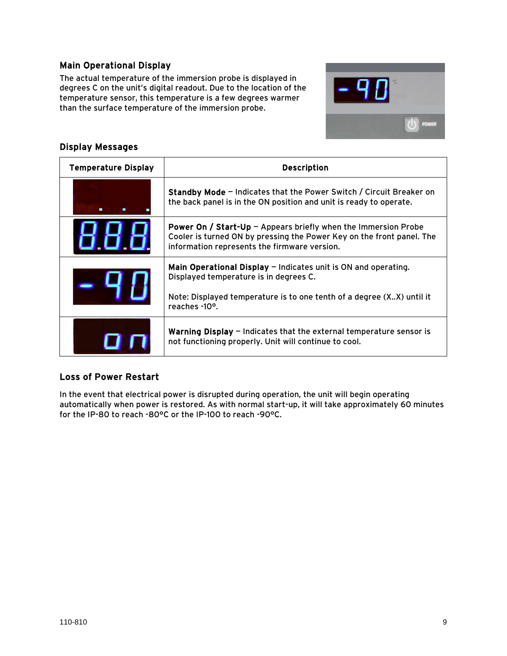#### <span id="page-9-0"></span>Main Operational Display

The actual temperature of the immersion probe is displayed in degrees C on the unit's digital readout. Due to the location of the temperature sensor, this temperature is a few degrees warmer than the surface temperature of the immersion probe.



#### Display Messages

| <b>Temperature Display</b> | <b>Description</b>                                                                                                                                                                                                |  |
|----------------------------|-------------------------------------------------------------------------------------------------------------------------------------------------------------------------------------------------------------------|--|
|                            | <b>Standby Mode</b> – Indicates that the Power Switch / Circuit Breaker on<br>the back panel is in the ON position and unit is ready to operate.                                                                  |  |
|                            | <b>Power On / Start-Up - Appears briefly when the Immersion Probe</b><br>Cooler is turned ON by pressing the Power Key on the front panel. The<br>information represents the firmware version.                    |  |
|                            | Main Operational Display $-$ Indicates unit is ON and operating.<br>Displayed temperature is in degrees C.<br>Note: Displayed temperature is to one tenth of a degree (XX) until it<br>reaches -10 <sup>o</sup> . |  |
|                            | <b>Warning Display <math>-</math></b> Indicates that the external temperature sensor is<br>not functioning properly. Unit will continue to cool.                                                                  |  |

#### Loss of Power Restart

In the event that electrical power is disrupted during operation, the unit will begin operating automatically when power is restored. As with normal start-up, it will take approximately 60 minutes for the IP-80 to reach -80°C or the IP-100 to reach -90°C.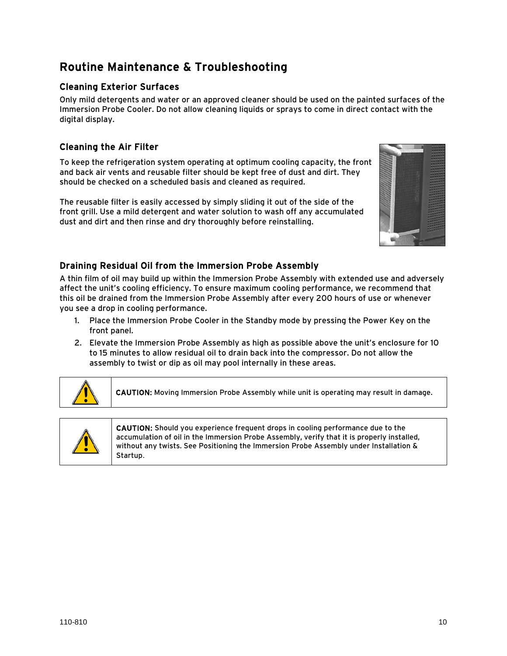# <span id="page-10-0"></span>Routine Maintenance & Troubleshooting

#### Cleaning Exterior Surfaces

Only mild detergents and water or an approved cleaner should be used on the painted surfaces of the Immersion Probe Cooler. Do not allow cleaning liquids or sprays to come in direct contact with the digital display.

#### Cleaning the Air Filter

To keep the refrigeration system operating at optimum cooling capacity, the front and back air vents and reusable filter should be kept free of dust and dirt. They should be checked on a scheduled basis and cleaned as required.

The reusable filter is easily accessed by simply sliding it out of the side of the front grill. Use a mild detergent and water solution to wash off any accumulated dust and dirt and then rinse and dry thoroughly before reinstalling.



#### Draining Residual Oil from the Immersion Probe Assembly

A thin film of oil may build up within the Immersion Probe Assembly with extended use and adversely affect the unit's cooling efficiency. To ensure maximum cooling performance, we recommend that this oil be drained from the Immersion Probe Assembly after every 200 hours of use or whenever you see a drop in cooling performance.

- 1. Place the Immersion Probe Cooler in the Standby mode by pressing the Power Key on the front panel.
- 2. Elevate the Immersion Probe Assembly as high as possible above the unit's enclosure for 10 to 15 minutes to allow residual oil to drain back into the compressor. Do not allow the assembly to twist or dip as oil may pool internally in these areas.



CAUTION: Moving Immersion Probe Assembly while unit is operating may result in damage.



CAUTION: Should you experience frequent drops in cooling performance due to the accumulation of oil in the Immersion Probe Assembly, verify that it is properly installed, without any twists. See Positioning the Immersion Probe Assembly under Installation & Startup.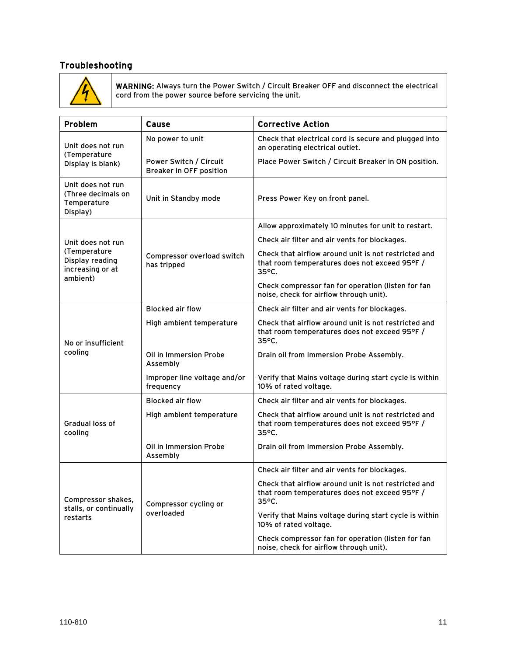#### <span id="page-11-0"></span>Troubleshooting



WARNING: Always turn the Power Switch / Circuit Breaker OFF and disconnect the electrical cord from the power source before servicing the unit.

| Problem                                                            | Cause                                                    | <b>Corrective Action</b>                                                                                                 |  |
|--------------------------------------------------------------------|----------------------------------------------------------|--------------------------------------------------------------------------------------------------------------------------|--|
| Unit does not run                                                  | No power to unit                                         | Check that electrical cord is secure and plugged into<br>an operating electrical outlet.                                 |  |
| (Temperature<br>Display is blank)                                  | Power Switch / Circuit<br><b>Breaker in OFF position</b> | Place Power Switch / Circuit Breaker in ON position.                                                                     |  |
| Unit does not run<br>(Three decimals on<br>Temperature<br>Display) | Unit in Standby mode                                     | Press Power Key on front panel.                                                                                          |  |
|                                                                    |                                                          | Allow approximately 10 minutes for unit to restart.                                                                      |  |
| Unit does not run                                                  | Compressor overload switch<br>has tripped                | Check air filter and air vents for blockages.                                                                            |  |
| (Temperature<br>Display reading<br>increasing or at<br>ambient)    |                                                          | Check that airflow around unit is not restricted and<br>that room temperatures does not exceed 95°F /<br>$35^{\circ}$ C. |  |
|                                                                    |                                                          | Check compressor fan for operation (listen for fan<br>noise, check for airflow through unit).                            |  |
|                                                                    | <b>Blocked air flow</b>                                  | Check air filter and air vents for blockages.                                                                            |  |
| No or insufficient                                                 | High ambient temperature                                 | Check that airflow around unit is not restricted and<br>that room temperatures does not exceed 95°F /<br>35°C.           |  |
| cooling                                                            | Oil in Immersion Probe<br>Assembly                       | Drain oil from Immersion Probe Assembly.                                                                                 |  |
|                                                                    | Improper line voltage and/or<br>frequency                | Verify that Mains voltage during start cycle is within<br>10% of rated voltage.                                          |  |
|                                                                    | <b>Blocked air flow</b>                                  | Check air filter and air vents for blockages.                                                                            |  |
| Gradual loss of<br>cooling                                         | High ambient temperature                                 | Check that airflow around unit is not restricted and<br>that room temperatures does not exceed 95°F /<br>$35^{\circ}$ C. |  |
|                                                                    | Oil in Immersion Probe<br>Assembly                       | Drain oil from Immersion Probe Assembly.                                                                                 |  |
|                                                                    |                                                          | Check air filter and air vents for blockages.                                                                            |  |
| Compressor shakes,                                                 | Compressor cycling or<br>overloaded                      | Check that airflow around unit is not restricted and<br>that room temperatures does not exceed 95°F /<br>35°C.           |  |
| stalls, or continually<br>restarts                                 |                                                          | Verify that Mains voltage during start cycle is within<br>10% of rated voltage.                                          |  |
|                                                                    |                                                          | Check compressor fan for operation (listen for fan<br>noise, check for airflow through unit).                            |  |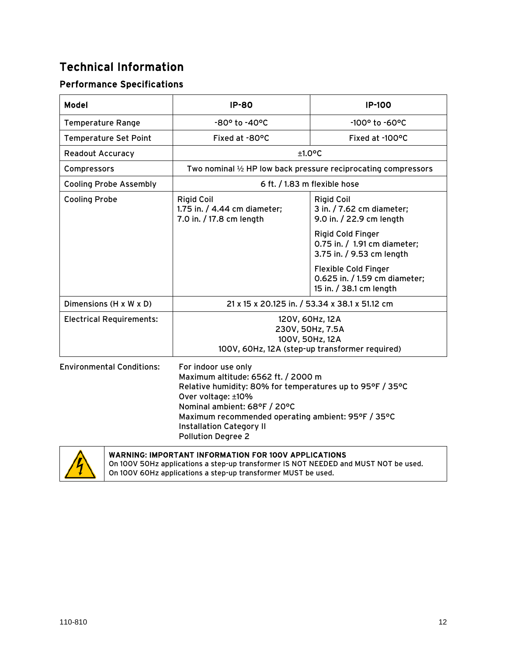# <span id="page-12-0"></span>Technical Information

### Performance Specifications

| <b>Model</b>                     | <b>IP-80</b>                                                                                                                                                                  | <b>IP-100</b>                                                                           |  |
|----------------------------------|-------------------------------------------------------------------------------------------------------------------------------------------------------------------------------|-----------------------------------------------------------------------------------------|--|
| <b>Temperature Range</b>         | $-80^{\circ}$ to $-40^{\circ}$ C                                                                                                                                              | $-100^{\circ}$ to $-60^{\circ}$ C                                                       |  |
| <b>Temperature Set Point</b>     | Fixed at -80°C                                                                                                                                                                | Fixed at -100°C                                                                         |  |
| <b>Readout Accuracy</b>          | $+1.0$ <sup>o</sup> C                                                                                                                                                         |                                                                                         |  |
| Compressors                      | Two nominal 1/2 HP low back pressure reciprocating compressors                                                                                                                |                                                                                         |  |
| <b>Cooling Probe Assembly</b>    | 6 ft. / 1.83 m flexible hose                                                                                                                                                  |                                                                                         |  |
| <b>Cooling Probe</b>             | <b>Rigid Coil</b><br>1.75 in. / 4.44 cm diameter;<br>7.0 in. / 17.8 cm length                                                                                                 | <b>Rigid Coil</b><br>3 in. / 7.62 cm diameter;<br>9.0 in. / 22.9 cm length              |  |
|                                  |                                                                                                                                                                               | Rigid Cold Finger<br>0.75 in. / 1.91 cm diameter;<br>3.75 in. / 9.53 cm length          |  |
|                                  |                                                                                                                                                                               | <b>Flexible Cold Finger</b><br>0.625 in. / 1.59 cm diameter;<br>15 in. / 38.1 cm length |  |
| Dimensions (H x W x D)           | 21 x 15 x 20.125 in. / 53.34 x 38.1 x 51.12 cm                                                                                                                                |                                                                                         |  |
| <b>Electrical Requirements:</b>  | 120V, 60Hz, 12A<br>230V, 50Hz, 7.5A<br>100V, 50Hz, 12A<br>100V, 60Hz, 12A (step-up transformer required)                                                                      |                                                                                         |  |
| <b>Environmental Conditions:</b> | For indoor use only<br>Maximum altitude: 6562 ft. / 2000 m<br>Relative humidity: 80% for temperatures up to 95°F / 35°C<br>Over voltage: ±10%<br>Nominal ambient: 68°F / 20°C |                                                                                         |  |

Installation Category II Pollution Degree 2



WARNING: IMPORTANT INFORMATION FOR 100V APPLICATIONS On 100V 50Hz applications a step-up transformer IS NOT NEEDED and MUST NOT be used. On 100V 60Hz applications a step-up transformer MUST be used.

Maximum recommended operating ambient: 95°F / 35°C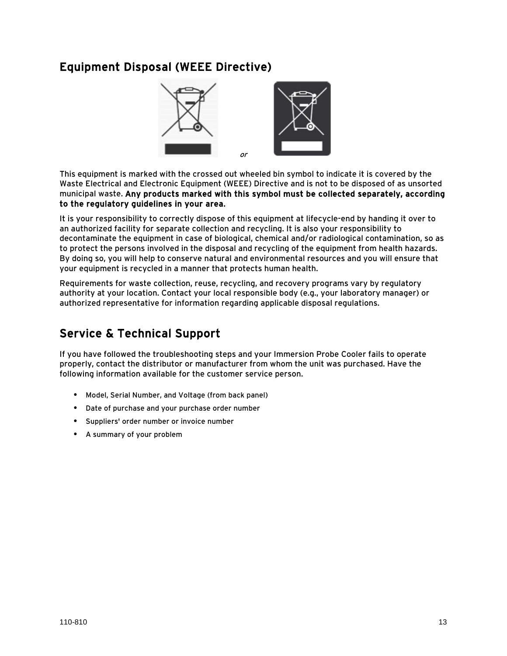### <span id="page-13-0"></span>Equipment Disposal (WEEE Directive)



This equipment is marked with the crossed out wheeled bin symbol to indicate it is covered by the Waste Electrical and Electronic Equipment (WEEE) Directive and is not to be disposed of as unsorted municipal waste. Any products marked with this symbol must be collected separately, according to the regulatory guidelines in your area.

It is your responsibility to correctly dispose of this equipment at lifecycle-end by handing it over to an authorized facility for separate collection and recycling. It is also your responsibility to decontaminate the equipment in case of biological, chemical and/or radiological contamination, so as to protect the persons involved in the disposal and recycling of the equipment from health hazards. By doing so, you will help to conserve natural and environmental resources and you will ensure that your equipment is recycled in a manner that protects human health.

Requirements for waste collection, reuse, recycling, and recovery programs vary by regulatory authority at your location. Contact your local responsible body (e.g., your laboratory manager) or authorized representative for information regarding applicable disposal regulations.

# Service & Technical Support

If you have followed the troubleshooting steps and your Immersion Probe Cooler fails to operate properly, contact the distributor or manufacturer from whom the unit was purchased. Have the following information available for the customer service person.

- **•** Model, Serial Number, and Voltage (from back panel)
- **•** Date of purchase and your purchase order number
- **•** Suppliers' order number or invoice number
- **•** A summary of your problem